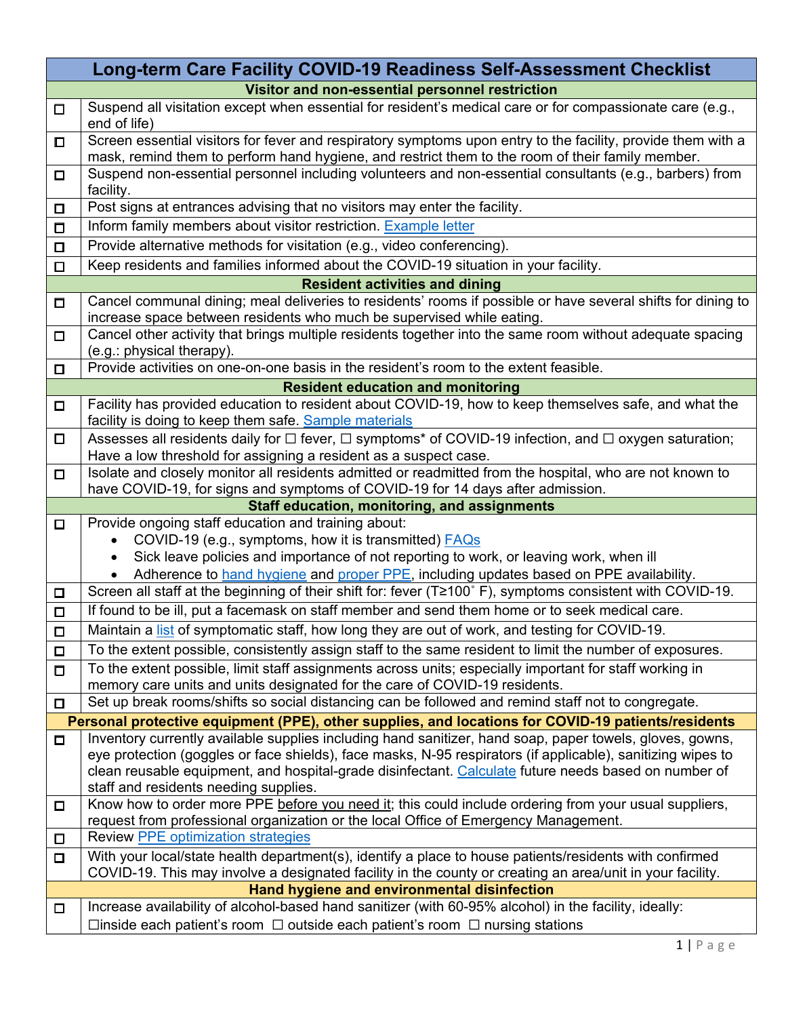| Long-term Care Facility COVID-19 Readiness Self-Assessment Checklist                                         |                                                                                                                                                                                                                  |  |
|--------------------------------------------------------------------------------------------------------------|------------------------------------------------------------------------------------------------------------------------------------------------------------------------------------------------------------------|--|
| Visitor and non-essential personnel restriction                                                              |                                                                                                                                                                                                                  |  |
| $\Box$                                                                                                       | Suspend all visitation except when essential for resident's medical care or for compassionate care (e.g.,<br>end of life)                                                                                        |  |
| П                                                                                                            | Screen essential visitors for fever and respiratory symptoms upon entry to the facility, provide them with a<br>mask, remind them to perform hand hygiene, and restrict them to the room of their family member. |  |
| □                                                                                                            | Suspend non-essential personnel including volunteers and non-essential consultants (e.g., barbers) from                                                                                                          |  |
|                                                                                                              | facility.<br>Post signs at entrances advising that no visitors may enter the facility.                                                                                                                           |  |
| $\Box$<br>$\Box$                                                                                             | Inform family members about visitor restriction. Example letter                                                                                                                                                  |  |
| $\Box$                                                                                                       | Provide alternative methods for visitation (e.g., video conferencing).                                                                                                                                           |  |
|                                                                                                              | Keep residents and families informed about the COVID-19 situation in your facility.                                                                                                                              |  |
| $\Box$                                                                                                       | <b>Resident activities and dining</b>                                                                                                                                                                            |  |
| Cancel communal dining; meal deliveries to residents' rooms if possible or have several shifts for dining to |                                                                                                                                                                                                                  |  |
| $\Box$                                                                                                       | increase space between residents who much be supervised while eating.                                                                                                                                            |  |
| $\Box$                                                                                                       | Cancel other activity that brings multiple residents together into the same room without adequate spacing<br>(e.g.: physical therapy).                                                                           |  |
| $\Box$                                                                                                       | Provide activities on one-on-one basis in the resident's room to the extent feasible.                                                                                                                            |  |
|                                                                                                              | <b>Resident education and monitoring</b>                                                                                                                                                                         |  |
| $\Box$                                                                                                       | Facility has provided education to resident about COVID-19, how to keep themselves safe, and what the                                                                                                            |  |
|                                                                                                              | facility is doing to keep them safe. Sample materials                                                                                                                                                            |  |
| □                                                                                                            | Assesses all residents daily for $\Box$ fever, $\Box$ symptoms* of COVID-19 infection, and $\Box$ oxygen saturation;<br>Have a low threshold for assigning a resident as a suspect case.                         |  |
| $\Box$                                                                                                       | Isolate and closely monitor all residents admitted or readmitted from the hospital, who are not known to                                                                                                         |  |
|                                                                                                              | have COVID-19, for signs and symptoms of COVID-19 for 14 days after admission.                                                                                                                                   |  |
| Staff education, monitoring, and assignments                                                                 |                                                                                                                                                                                                                  |  |
|                                                                                                              |                                                                                                                                                                                                                  |  |
| $\Box$                                                                                                       | Provide ongoing staff education and training about:                                                                                                                                                              |  |
|                                                                                                              | COVID-19 (e.g., symptoms, how it is transmitted) <b>FAQs</b><br>$\bullet$                                                                                                                                        |  |
|                                                                                                              | Sick leave policies and importance of not reporting to work, or leaving work, when ill                                                                                                                           |  |
|                                                                                                              | Adherence to hand hygiene and proper PPE, including updates based on PPE availability.                                                                                                                           |  |
| $\Box$                                                                                                       | Screen all staff at the beginning of their shift for: fever (T≥100°F), symptoms consistent with COVID-19.                                                                                                        |  |
| $\Box$                                                                                                       | If found to be ill, put a facemask on staff member and send them home or to seek medical care.                                                                                                                   |  |
| $\Box$                                                                                                       | Maintain a list of symptomatic staff, how long they are out of work, and testing for COVID-19.                                                                                                                   |  |
| $\Box$                                                                                                       | To the extent possible, consistently assign staff to the same resident to limit the number of exposures.                                                                                                         |  |
| П                                                                                                            | To the extent possible, limit staff assignments across units; especially important for staff working in<br>memory care units and units designated for the care of COVID-19 residents.                            |  |
| $\Box$                                                                                                       | Set up break rooms/shifts so social distancing can be followed and remind staff not to congregate.                                                                                                               |  |
|                                                                                                              | Personal protective equipment (PPE), other supplies, and locations for COVID-19 patients/residents                                                                                                               |  |
| $\Box$                                                                                                       | Inventory currently available supplies including hand sanitizer, hand soap, paper towels, gloves, gowns,                                                                                                         |  |
|                                                                                                              | eye protection (goggles or face shields), face masks, N-95 respirators (if applicable), sanitizing wipes to                                                                                                      |  |
|                                                                                                              | clean reusable equipment, and hospital-grade disinfectant. Calculate future needs based on number of<br>staff and residents needing supplies.                                                                    |  |
| $\Box$                                                                                                       | Know how to order more PPE before you need it; this could include ordering from your usual suppliers,                                                                                                            |  |
|                                                                                                              | request from professional organization or the local Office of Emergency Management.                                                                                                                              |  |
| □                                                                                                            | <b>Review PPE optimization strategies</b>                                                                                                                                                                        |  |
| $\Box$                                                                                                       | With your local/state health department(s), identify a place to house patients/residents with confirmed                                                                                                          |  |
|                                                                                                              | COVID-19. This may involve a designated facility in the county or creating an area/unit in your facility.                                                                                                        |  |
| □                                                                                                            | Hand hygiene and environmental disinfection<br>Increase availability of alcohol-based hand sanitizer (with 60-95% alcohol) in the facility, ideally:                                                             |  |